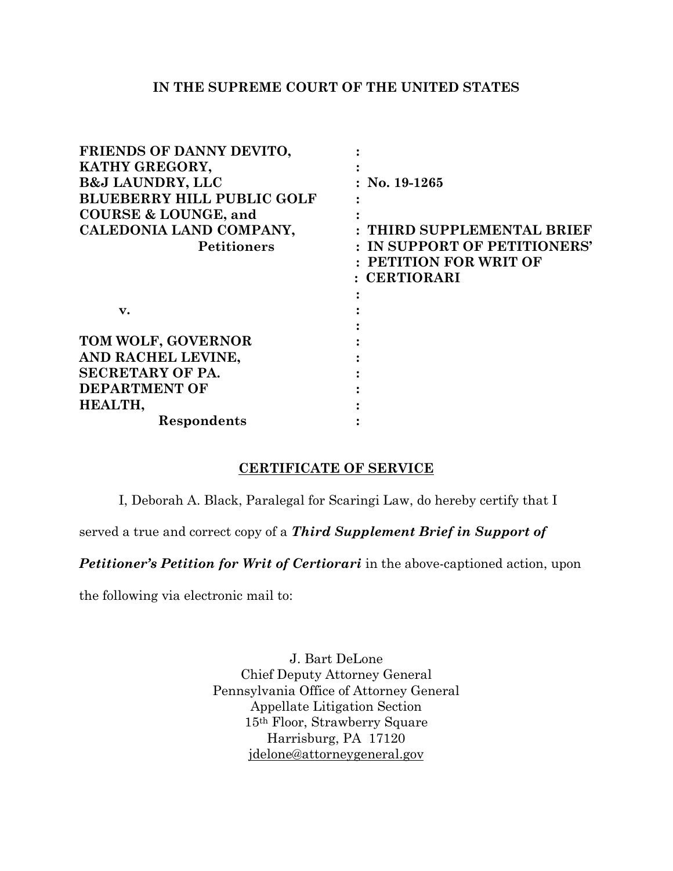## **IN THE SUPREME COURT OF THE UNITED STATES**

| FRIENDS OF DANNY DEVITO,          |                              |
|-----------------------------------|------------------------------|
| KATHY GREGORY,                    |                              |
| <b>B&amp;J LAUNDRY, LLC</b>       | No. 19-1265                  |
| <b>BLUEBERRY HILL PUBLIC GOLF</b> |                              |
| <b>COURSE &amp; LOUNGE, and</b>   |                              |
| CALEDONIA LAND COMPANY,           | : THIRD SUPPLEMENTAL BRIEF   |
| <b>Petitioners</b>                | : IN SUPPORT OF PETITIONERS' |
|                                   | : PETITION FOR WRIT OF       |
|                                   | : CERTIORARI                 |
|                                   |                              |
| v.                                |                              |
|                                   |                              |
| TOM WOLF, GOVERNOR                |                              |
| AND RACHEL LEVINE,                |                              |
| <b>SECRETARY OF PA.</b>           |                              |
| <b>DEPARTMENT OF</b>              |                              |
| HEALTH,                           |                              |
| Respondents                       |                              |

## **CERTIFICATE OF SERVICE**

I, Deborah A. Black, Paralegal for Scaringi Law, do hereby certify that I

served a true and correct copy of a *Third Supplement Brief in Support of* 

**Petitioner's Petition for Writ of Certiorari** in the above-captioned action, upon

the following via electronic mail to:

J. Bart DeLone Chief Deputy Attorney General Pennsylvania Office of Attorney General Appellate Litigation Section 15th Floor, Strawberry Square Harrisburg, PA 17120 [jdelone@attorneygeneral.gov](mailto:jdelone@attorneygeneral.gov)